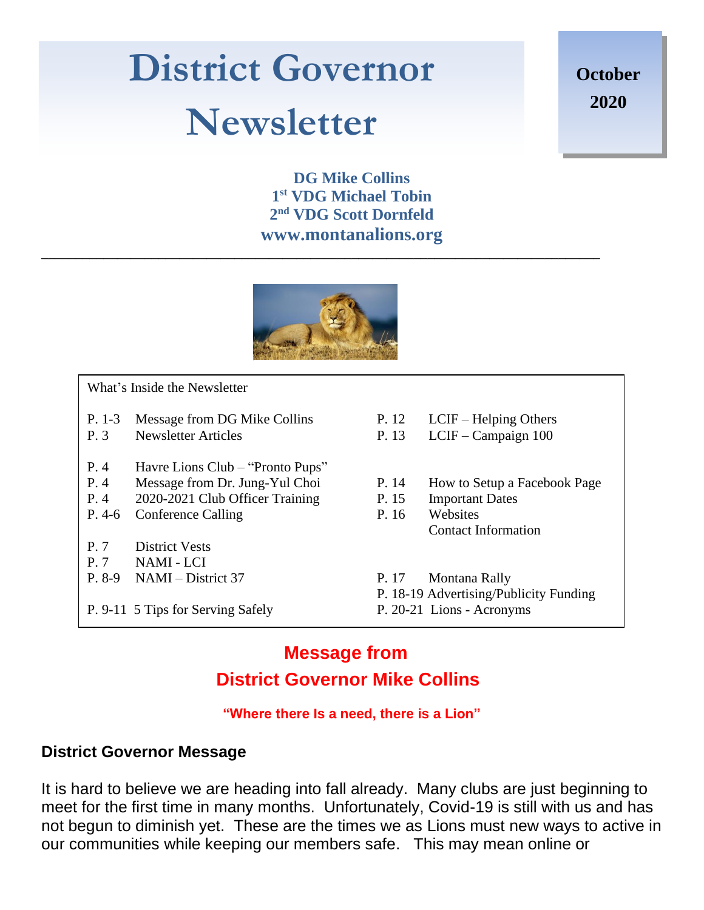## **District Governor Newsletter**

**October 2020**

**DG Mike Collins 1 st VDG Michael Tobin 2 nd VDG Scott Dornfeld www.montanalions.org**



**\_\_\_\_\_\_\_\_\_\_\_\_\_\_\_\_\_\_\_\_\_\_\_\_\_\_\_\_\_\_\_\_\_\_\_\_\_\_\_\_\_\_\_\_\_\_\_\_\_\_\_\_\_\_\_\_\_\_\_\_\_\_\_\_\_\_\_\_\_\_\_\_\_\_\_\_\_\_\_\_\_**

 What's Inside the Newsletter

- P. 1-3 Message from DG Mike Collins P. 12 LCIF Helping Others
- 
- P. 4 Havre Lions Club "Pronto Pups"
- P. 4 Message from Dr. Jung-Yul Choi P. 14 How to Setup a Facebook Page
- P. 4 2020-2021 Club Officer Training P. 15 Important Dates
- P. 4-6 Conference Calling P. 16 Websites
- P. 7 District Vests
- P. 7 NAMI LCI
- P. 8-9 NAMI District 37 P. 17 Montana Rally

P. 9-11 5 Tips for Serving Safely P. 20-21 Lions - Acronyms

- 
- P. 3 Newsletter Articles P. 13 LCIF Campaign 100
	-
	- - Contact Information
	-
	- P. 18-19 Advertising/Publicity Funding
	-

#### **Message from District Governor Mike Collins**

#### **"Where there Is a need, there is a Lion"**

#### **District Governor Message**

It is hard to believe we are heading into fall already. Many clubs are just beginning to meet for the first time in many months. Unfortunately, Covid-19 is still with us and has not begun to diminish yet. These are the times we as Lions must new ways to active in our communities while keeping our members safe. This may mean online or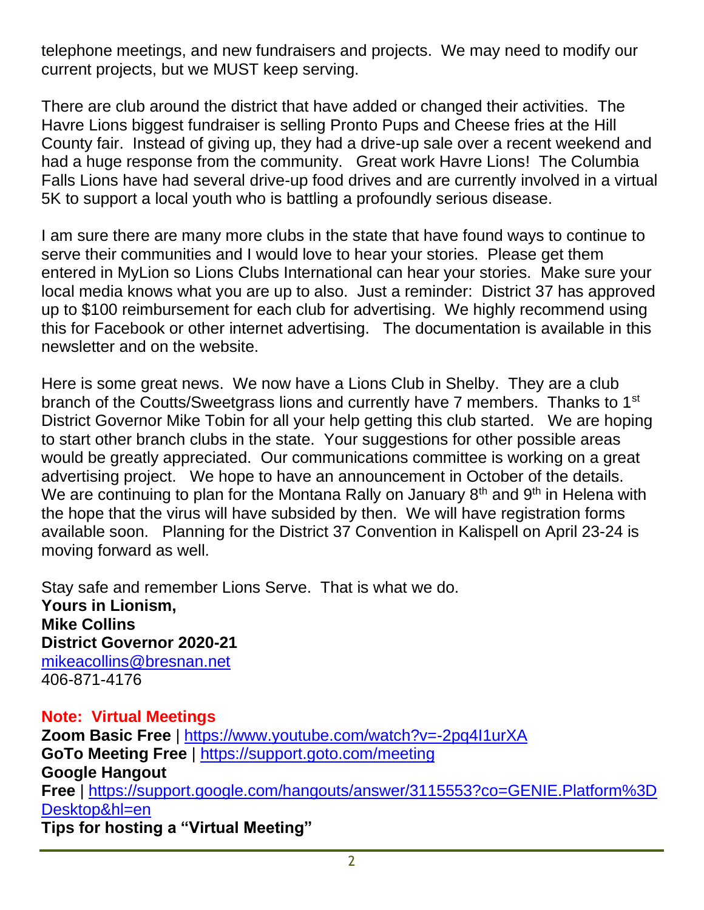telephone meetings, and new fundraisers and projects. We may need to modify our current projects, but we MUST keep serving.

There are club around the district that have added or changed their activities. The Havre Lions biggest fundraiser is selling Pronto Pups and Cheese fries at the Hill County fair. Instead of giving up, they had a drive-up sale over a recent weekend and had a huge response from the community. Great work Havre Lions! The Columbia Falls Lions have had several drive-up food drives and are currently involved in a virtual 5K to support a local youth who is battling a profoundly serious disease.

I am sure there are many more clubs in the state that have found ways to continue to serve their communities and I would love to hear your stories. Please get them entered in MyLion so Lions Clubs International can hear your stories. Make sure your local media knows what you are up to also. Just a reminder: District 37 has approved up to \$100 reimbursement for each club for advertising. We highly recommend using this for Facebook or other internet advertising. The documentation is available in this newsletter and on the website.

Here is some great news. We now have a Lions Club in Shelby. They are a club branch of the Coutts/Sweetgrass lions and currently have 7 members. Thanks to 1<sup>st</sup> District Governor Mike Tobin for all your help getting this club started. We are hoping to start other branch clubs in the state. Your suggestions for other possible areas would be greatly appreciated. Our communications committee is working on a great advertising project. We hope to have an announcement in October of the details. We are continuing to plan for the Montana Rally on January  $8<sup>th</sup>$  and  $9<sup>th</sup>$  in Helena with the hope that the virus will have subsided by then. We will have registration forms available soon. Planning for the District 37 Convention in Kalispell on April 23-24 is moving forward as well.

Stay safe and remember Lions Serve. That is what we do. **Yours in Lionism, Mike Collins District Governor 2020-21** mikeacollins@bresnan.net 406-871-4176

**Note: Virtual Meetings**

**Zoom Basic Free** | https://www.youtube.com/watch?v=-2pq4I1urXA **GoTo Meeting Free** | https://support.goto.com/meeting **Google Hangout Free** | https://support.google.com/hangouts/answer/3115553?co=GENIE.Platform%3D Desktop&hl=en **Tips for hosting a "Virtual Meeting"**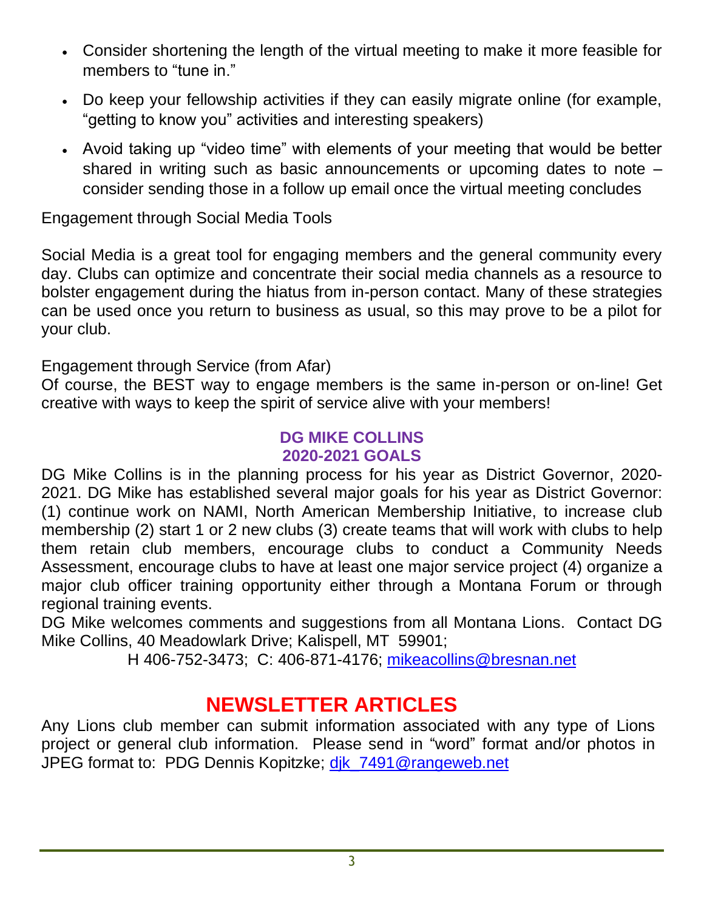- Consider shortening the length of the virtual meeting to make it more feasible for members to "tune in."
- Do keep your fellowship activities if they can easily migrate online (for example, "getting to know you" activities and interesting speakers)
- Avoid taking up "video time" with elements of your meeting that would be better shared in writing such as basic announcements or upcoming dates to note – consider sending those in a follow up email once the virtual meeting concludes

Engagement through Social Media Tools

Social Media is a great tool for engaging members and the general community every day. Clubs can optimize and concentrate their social media channels as a resource to bolster engagement during the hiatus from in-person contact. Many of these strategies can be used once you return to business as usual, so this may prove to be a pilot for your club.

Engagement through Service (from Afar)

Of course, the BEST way to engage members is the same in-person or on-line! Get creative with ways to keep the spirit of service alive with your members!

#### **DG MIKE COLLINS 2020-2021 GOALS**

DG Mike Collins is in the planning process for his year as District Governor, 2020- 2021. DG Mike has established several major goals for his year as District Governor: (1) continue work on NAMI, North American Membership Initiative, to increase club membership (2) start 1 or 2 new clubs (3) create teams that will work with clubs to help them retain club members, encourage clubs to conduct a Community Needs Assessment, encourage clubs to have at least one major service project (4) organize a major club officer training opportunity either through a Montana Forum or through regional training events.

DG Mike welcomes comments and suggestions from all Montana Lions. Contact DG Mike Collins, 40 Meadowlark Drive; Kalispell, MT 59901;

H 406-752-3473; C: 406-871-4176; mikeacollins@bresnan.net

## **NEWSLETTER ARTICLES**

Any Lions club member can submit information associated with any type of Lions project or general club information. Please send in "word" format and/or photos in JPEG format to: PDG Dennis Kopitzke; dik\_7491@rangeweb.net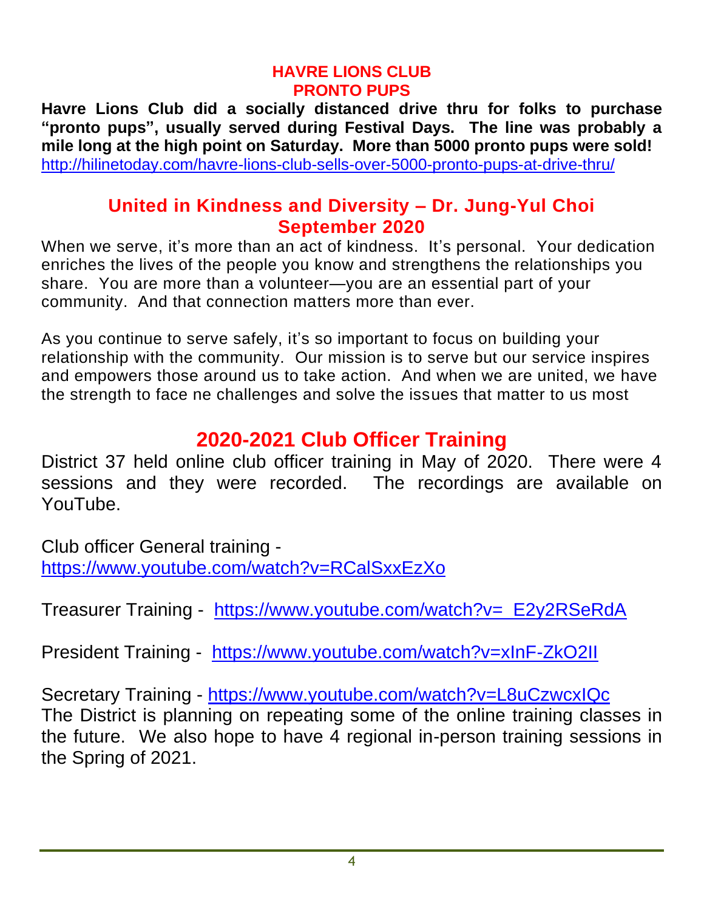#### **HAVRE LIONS CLUB PRONTO PUPS**

**Havre Lions Club did a socially distanced drive thru for folks to purchase "pronto pups", usually served during Festival Days. The line was probably a mile long at the high point on Saturday. More than 5000 pronto pups were sold!** http://hilinetoday.com/havre-lions-club-sells-over-5000-pronto-pups-at-drive-thru/

#### **United in Kindness and Diversity – Dr. Jung-Yul Choi September 2020**

When we serve, it's more than an act of kindness. It's personal. Your dedication enriches the lives of the people you know and strengthens the relationships you share. You are more than a volunteer—you are an essential part of your community. And that connection matters more than ever.

As you continue to serve safely, it's so important to focus on building your relationship with the community. Our mission is to serve but our service inspires and empowers those around us to take action. And when we are united, we have the strength to face ne challenges and solve the issues that matter to us most

## **2020-2021 Club Officer Training**

District 37 held online club officer training in May of 2020. There were 4 sessions and they were recorded. The recordings are available on YouTube.

Club officer General training https://www.youtube.com/watch?v=RCalSxxEzXo

Treasurer Training - https://www.youtube.com/watch?v=\_E2y2RSeRdA

President Training - https://www.youtube.com/watch?v=xInF-ZkO2II

Secretary Training - https://www.youtube.com/watch?v=L8uCzwcxIQc The District is planning on repeating some of the online training classes in the future. We also hope to have 4 regional in-person training sessions in the Spring of 2021.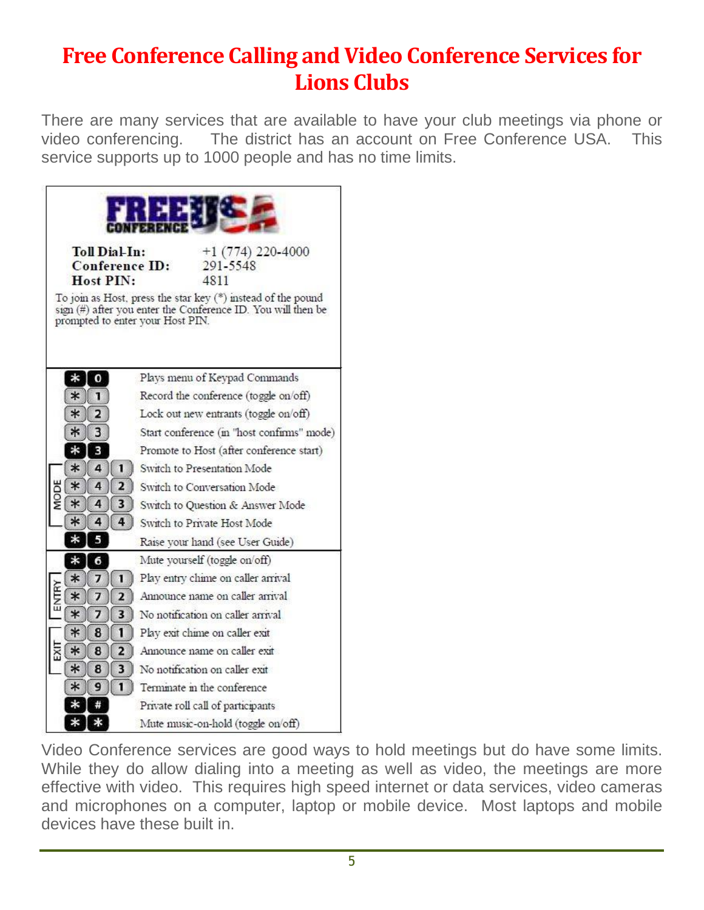## **Free Conference Calling and Video Conference Services for Lions Clubs**

There are many services that are available to have your club meetings via phone or video conferencing. The district has an account on Free Conference USA. This service supports up to 1000 people and has no time limits.



Video Conference services are good ways to hold meetings but do have some limits. While they do allow dialing into a meeting as well as video, the meetings are more effective with video. This requires high speed internet or data services, video cameras and microphones on a computer, laptop or mobile device. Most laptops and mobile devices have these built in.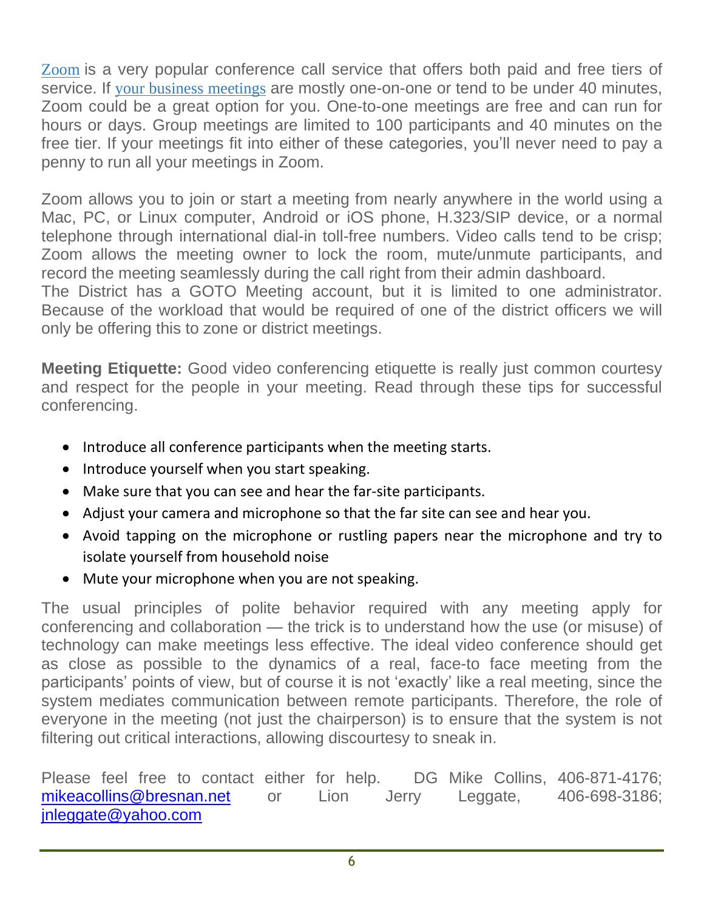Zoom is a very popular conference call service that offers both paid and free tiers of service. If your business meetings are mostly one-on-one or tend to be under 40 minutes, Zoom could be a great option for you. One-to-one meetings are free and can run for hours or days. Group meetings are limited to 100 participants and 40 minutes on the free tier. If your meetings fit into either of these categories, you'll never need to pay a penny to run all your meetings in Zoom.

Zoom allows you to join or start a meeting from nearly anywhere in the world using a Mac, PC, or Linux computer, Android or iOS phone, H.323/SIP device, or a normal telephone through international dial-in toll-free numbers. Video calls tend to be crisp; Zoom allows the meeting owner to lock the room, mute/unmute participants, and record the meeting seamlessly during the call right from their admin dashboard.

The District has a GOTO Meeting account, but it is limited to one administrator. Because of the workload that would be required of one of the district officers we will only be offering this to zone or district meetings.

**Meeting Etiquette:** Good video conferencing etiquette is really just common courtesy and respect for the people in your meeting. Read through these tips for successful conferencing.

- Introduce all conference participants when the meeting starts.
- Introduce yourself when you start speaking.
- Make sure that you can see and hear the far-site participants.
- Adjust your camera and microphone so that the far site can see and hear you.
- Avoid tapping on the microphone or rustling papers near the microphone and try to isolate yourself from household noise
- Mute your microphone when you are not speaking.

The usual principles of polite behavior required with any meeting apply for conferencing and collaboration — the trick is to understand how the use (or misuse) of technology can make meetings less effective. The ideal video conference should get as close as possible to the dynamics of a real, face-to face meeting from the participants' points of view, but of course it is not 'exactly' like a real meeting, since the system mediates communication between remote participants. Therefore, the role of everyone in the meeting (not just the chairperson) is to ensure that the system is not filtering out critical interactions, allowing discourtesy to sneak in.

Please feel free to contact either for help. DG Mike Collins, 406-871-4176; mikeacollins@bresnan.net or Lion Jerry Leggate, 406-698-3186; jnleggate@yahoo.com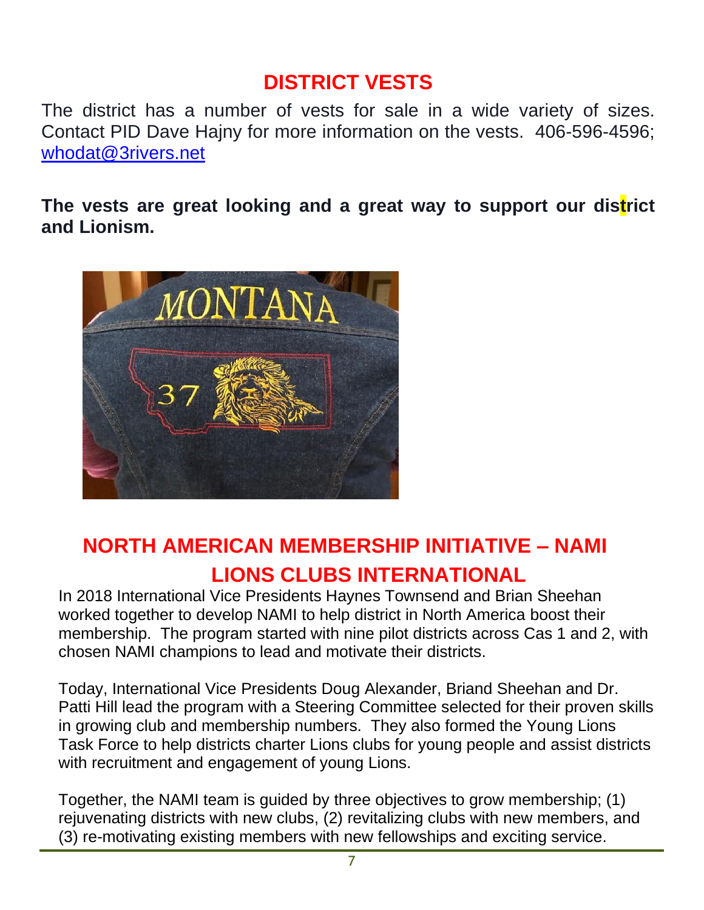## **DISTRICT VESTS**

The district has a number of vests for sale in a wide variety of sizes. Contact PID Dave Hajny for more information on the vests. 406-596-4596; whodat@3rivers.net

**The vests are great looking and a great way to support our district and Lionism.**



## **NORTH AMERICAN MEMBERSHIP INITIATIVE – NAMI LIONS CLUBS INTERNATIONAL**

In 2018 International Vice Presidents Haynes Townsend and Brian Sheehan worked together to develop NAMI to help district in North America boost their membership. The program started with nine pilot districts across Cas 1 and 2, with chosen NAMI champions to lead and motivate their districts.

Today, International Vice Presidents Doug Alexander, Briand Sheehan and Dr. Patti Hill lead the program with a Steering Committee selected for their proven skills in growing club and membership numbers. They also formed the Young Lions Task Force to help districts charter Lions clubs for young people and assist districts with recruitment and engagement of young Lions.

Together, the NAMI team is guided by three objectives to grow membership; (1) rejuvenating districts with new clubs, (2) revitalizing clubs with new members, and (3) re-motivating existing members with new fellowships and exciting service.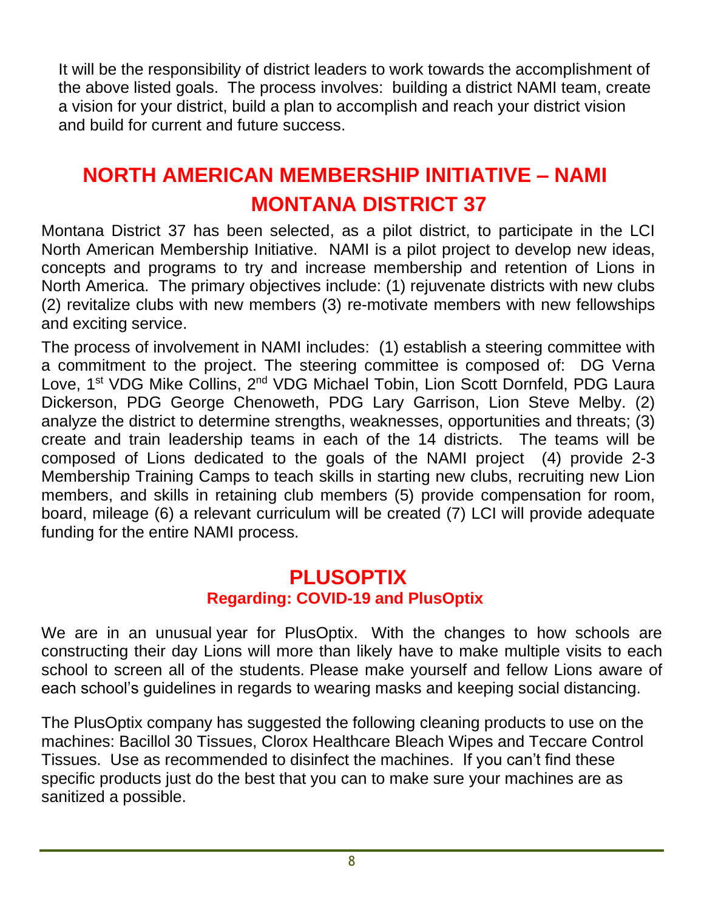It will be the responsibility of district leaders to work towards the accomplishment of the above listed goals. The process involves: building a district NAMI team, create a vision for your district, build a plan to accomplish and reach your district vision and build for current and future success.

## **NORTH AMERICAN MEMBERSHIP INITIATIVE – NAMI MONTANA DISTRICT 37**

Montana District 37 has been selected, as a pilot district, to participate in the LCI North American Membership Initiative. NAMI is a pilot project to develop new ideas, concepts and programs to try and increase membership and retention of Lions in North America. The primary objectives include: (1) rejuvenate districts with new clubs (2) revitalize clubs with new members (3) re-motivate members with new fellowships and exciting service.

The process of involvement in NAMI includes: (1) establish a steering committee with a commitment to the project. The steering committee is composed of: DG Verna Love, 1<sup>st</sup> VDG Mike Collins, 2<sup>nd</sup> VDG Michael Tobin, Lion Scott Dornfeld, PDG Laura Dickerson, PDG George Chenoweth, PDG Lary Garrison, Lion Steve Melby. (2) analyze the district to determine strengths, weaknesses, opportunities and threats; (3) create and train leadership teams in each of the 14 districts. The teams will be composed of Lions dedicated to the goals of the NAMI project (4) provide 2-3 Membership Training Camps to teach skills in starting new clubs, recruiting new Lion members, and skills in retaining club members (5) provide compensation for room, board, mileage (6) a relevant curriculum will be created (7) LCI will provide adequate funding for the entire NAMI process.

#### **PLUSOPTIX Regarding: COVID-19 and PlusOptix**

We are in an unusual year for PlusOptix. With the changes to how schools are constructing their day Lions will more than likely have to make multiple visits to each school to screen all of the students. Please make yourself and fellow Lions aware of each school's guidelines in regards to wearing masks and keeping social distancing.

The PlusOptix company has suggested the following cleaning products to use on the machines: Bacillol 30 Tissues, Clorox Healthcare Bleach Wipes and Teccare Control Tissues. Use as recommended to disinfect the machines. If you can't find these specific products just do the best that you can to make sure your machines are as sanitized a possible.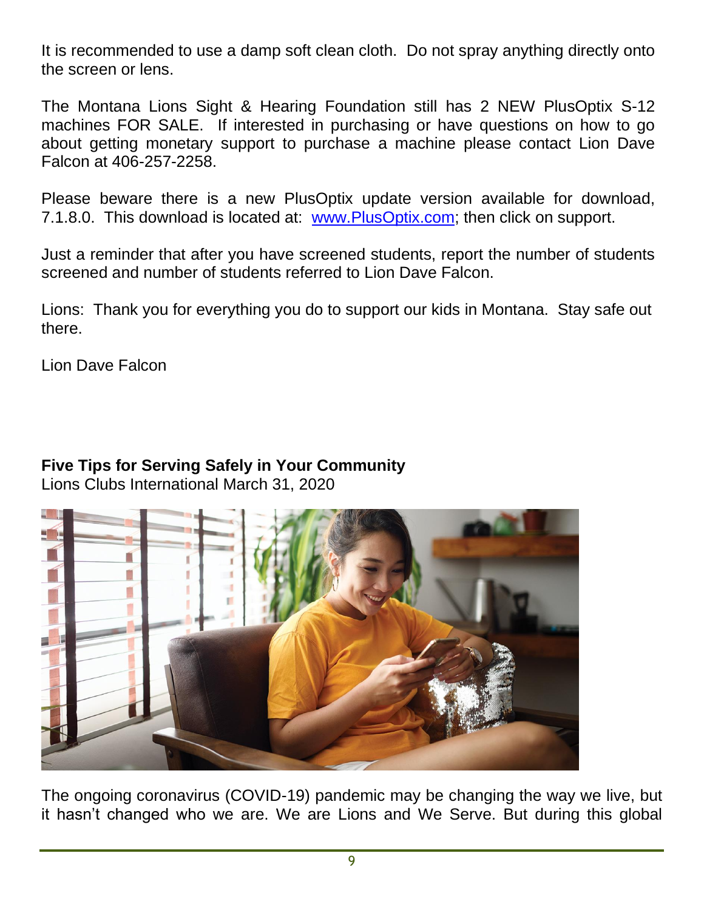It is recommended to use a damp soft clean cloth. Do not spray anything directly onto the screen or lens.

The Montana Lions Sight & Hearing Foundation still has 2 NEW PlusOptix S-12 machines FOR SALE. If interested in purchasing or have questions on how to go about getting monetary support to purchase a machine please contact Lion Dave Falcon at 406-257-2258.

Please beware there is a new PlusOptix update version available for download, 7.1.8.0. This download is located at: www.PlusOptix.com; then click on support.

Just a reminder that after you have screened students, report the number of students screened and number of students referred to Lion Dave Falcon.

Lions: Thank you for everything you do to support our kids in Montana. Stay safe out there.

Lion Dave Falcon

#### **Five Tips for Serving Safely in Your Community**

Lions Clubs International March 31, 2020



The ongoing coronavirus (COVID-19) pandemic may be changing the way we live, but it hasn't changed who we are. We are Lions and We Serve. But during this global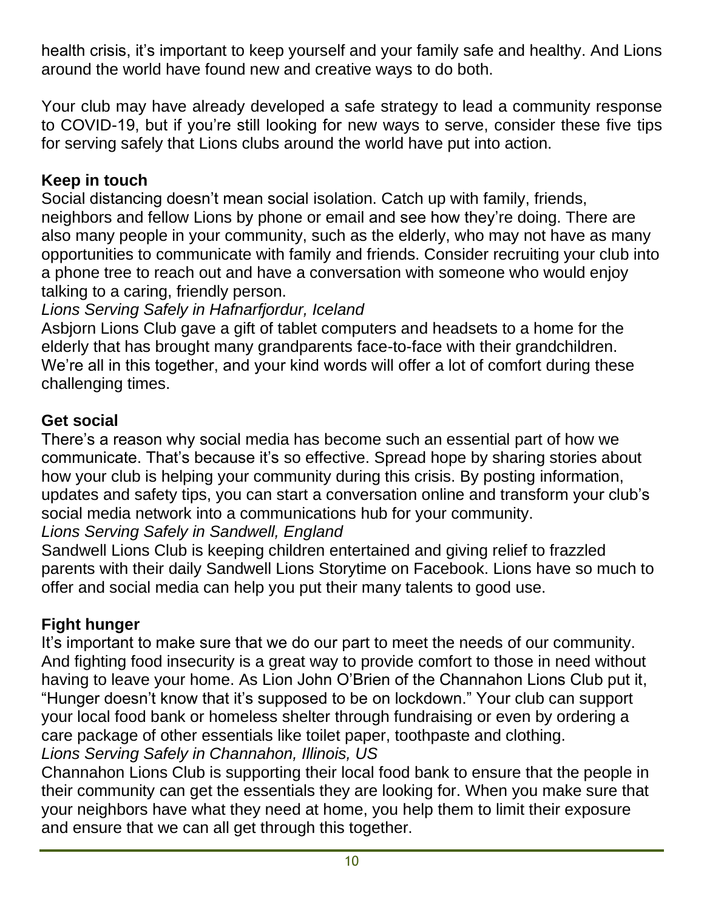health crisis, it's important to keep yourself and your family safe and healthy. And Lions around the world have found new and creative ways to do both.

Your club may have already developed a safe strategy to lead a community response to COVID-19, but if you're still looking for new ways to serve, consider these five tips for serving safely that Lions clubs around the world have put into action.

#### **Keep in touch**

Social distancing doesn't mean social isolation. Catch up with family, friends, neighbors and fellow Lions by phone or email and see how they're doing. There are also many people in your community, such as the elderly, who may not have as many opportunities to communicate with family and friends. Consider recruiting your club into a phone tree to reach out and have a conversation with someone who would enjoy talking to a caring, friendly person.

#### *Lions Serving Safely in Hafnarfjordur, Iceland*

Asbjorn Lions Club gave a gift of tablet computers and headsets to a home for the elderly that has brought many grandparents face-to-face with their grandchildren. We're all in this together, and your kind words will offer a lot of comfort during these challenging times.

#### **Get social**

There's a reason why social media has become such an essential part of how we communicate. That's because it's so effective. Spread hope by sharing stories about how your club is helping your community during this crisis. By posting information, updates and safety tips, you can start a conversation online and transform your club's social media network into a communications hub for your community.

#### *Lions Serving Safely in Sandwell, England*

Sandwell Lions Club is keeping children entertained and giving relief to frazzled parents with their daily Sandwell Lions Storytime on Facebook. Lions have so much to offer and social media can help you put their many talents to good use.

#### **Fight hunger**

It's important to make sure that we do our part to meet the needs of our community. And fighting food insecurity is a great way to provide comfort to those in need without having to leave your home. As Lion John O'Brien of the Channahon Lions Club put it, "Hunger doesn't know that it's supposed to be on lockdown." Your club can support your local food bank or homeless shelter through fundraising or even by ordering a care package of other essentials like toilet paper, toothpaste and clothing. *Lions Serving Safely in Channahon, Illinois, US*

Channahon Lions Club is supporting their local food bank to ensure that the people in their community can get the essentials they are looking for. When you make sure that your neighbors have what they need at home, you help them to limit their exposure and ensure that we can all get through this together.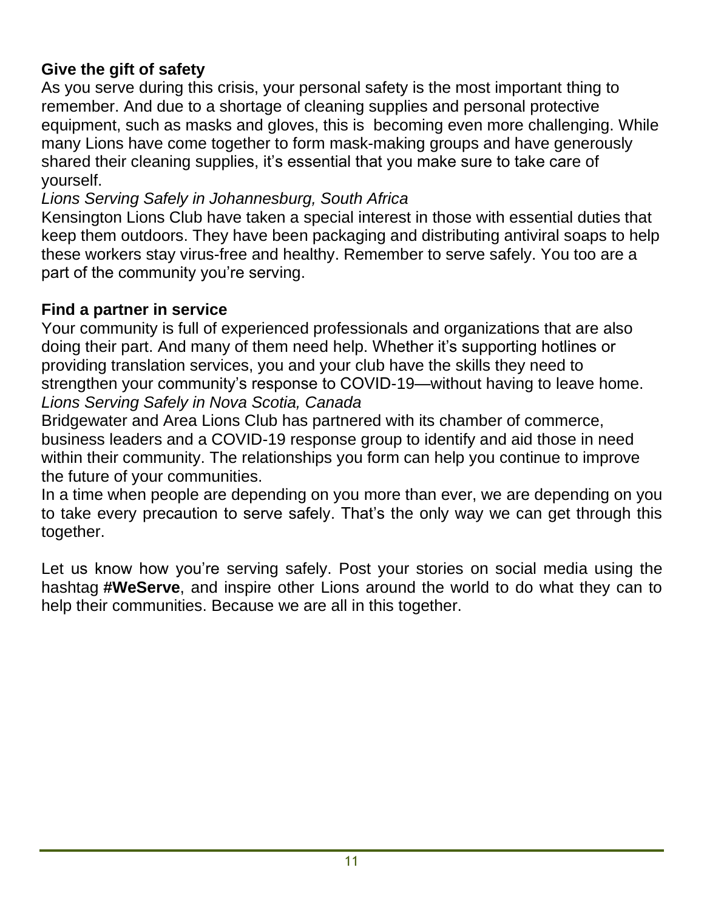#### **Give the gift of safety**

As you serve during this crisis, your personal safety is the most important thing to remember. And due to a shortage of cleaning supplies and personal protective equipment, such as masks and gloves, this is becoming even more challenging. While many Lions have come together to form mask-making groups and have generously shared their cleaning supplies, it's essential that you make sure to take care of yourself.

#### *Lions Serving Safely in Johannesburg, South Africa*

Kensington Lions Club have taken a special interest in those with essential duties that keep them outdoors. They have been packaging and distributing antiviral soaps to help these workers stay virus-free and healthy. Remember to serve safely. You too are a part of the community you're serving.

#### **Find a partner in service**

Your community is full of experienced professionals and organizations that are also doing their part. And many of them need help. Whether it's supporting hotlines or providing translation services, you and your club have the skills they need to strengthen your community's response to COVID-19—without having to leave home. *Lions Serving Safely in Nova Scotia, Canada*

Bridgewater and Area Lions Club has partnered with its chamber of commerce, business leaders and a COVID-19 response group to identify and aid those in need within their community. The relationships you form can help you continue to improve the future of your communities.

In a time when people are depending on you more than ever, we are depending on you to take every precaution to serve safely. That's the only way we can get through this together.

Let us know how you're serving safely. Post your stories on social media using the hashtag **#WeServe**, and inspire other Lions around the world to do what they can to help their communities. Because we are all in this together.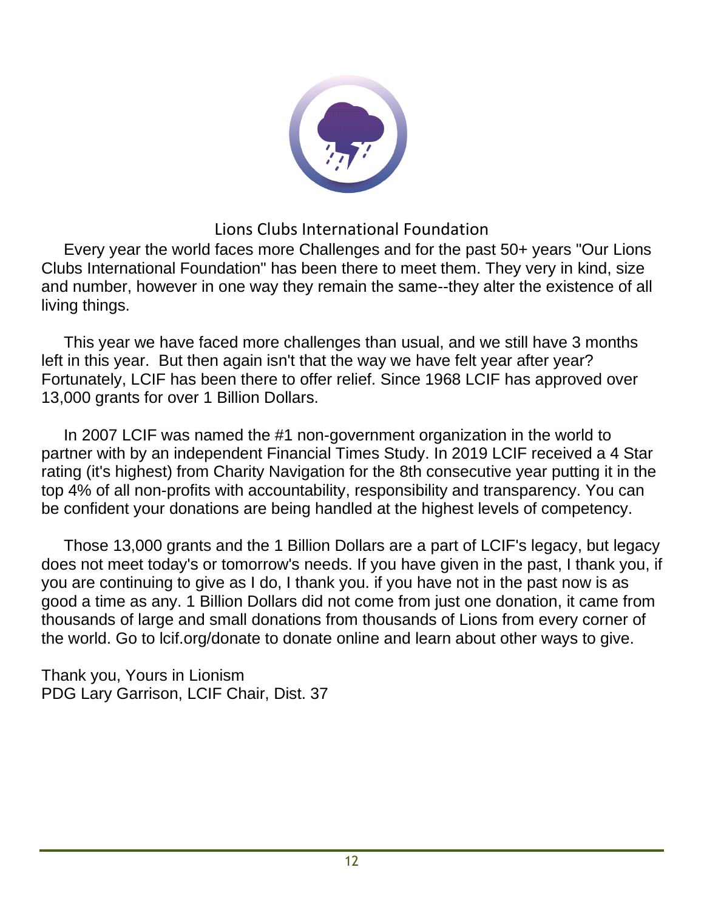

#### Lions Clubs International Foundation

 Every year the world faces more Challenges and for the past 50+ years "Our Lions Clubs International Foundation" has been there to meet them. They very in kind, size and number, however in one way they remain the same--they alter the existence of all living things.

 This year we have faced more challenges than usual, and we still have 3 months left in this year. But then again isn't that the way we have felt year after year? Fortunately, LCIF has been there to offer relief. Since 1968 LCIF has approved over 13,000 grants for over 1 Billion Dollars.

 In 2007 LCIF was named the #1 non-government organization in the world to partner with by an independent Financial Times Study. In 2019 LCIF received a 4 Star rating (it's highest) from Charity Navigation for the 8th consecutive year putting it in the top 4% of all non-profits with accountability, responsibility and transparency. You can be confident your donations are being handled at the highest levels of competency.

 Those 13,000 grants and the 1 Billion Dollars are a part of LCIF's legacy, but legacy does not meet today's or tomorrow's needs. If you have given in the past, I thank you, if you are continuing to give as I do, I thank you. if you have not in the past now is as good a time as any. 1 Billion Dollars did not come from just one donation, it came from thousands of large and small donations from thousands of Lions from every corner of the world. Go to lcif.org/donate to donate online and learn about other ways to give.

Thank you, Yours in Lionism PDG Lary Garrison, LCIF Chair, Dist. 37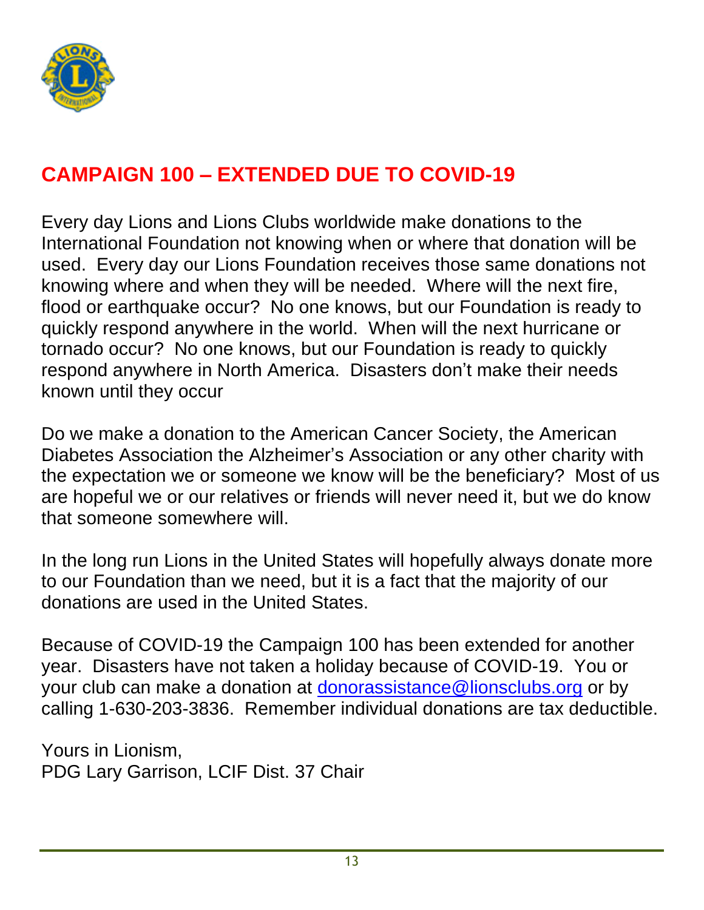

## **CAMPAIGN 100 – EXTENDED DUE TO COVID-19**

Every day Lions and Lions Clubs worldwide make donations to the International Foundation not knowing when or where that donation will be used. Every day our Lions Foundation receives those same donations not knowing where and when they will be needed. Where will the next fire, flood or earthquake occur? No one knows, but our Foundation is ready to quickly respond anywhere in the world. When will the next hurricane or tornado occur? No one knows, but our Foundation is ready to quickly respond anywhere in North America. Disasters don't make their needs known until they occur

Do we make a donation to the American Cancer Society, the American Diabetes Association the Alzheimer's Association or any other charity with the expectation we or someone we know will be the beneficiary? Most of us are hopeful we or our relatives or friends will never need it, but we do know that someone somewhere will.

In the long run Lions in the United States will hopefully always donate more to our Foundation than we need, but it is a fact that the majority of our donations are used in the United States.

Because of COVID-19 the Campaign 100 has been extended for another year. Disasters have not taken a holiday because of COVID-19. You or your club can make a donation at donorassistance@lionsclubs.org or by calling 1-630-203-3836. Remember individual donations are tax deductible.

Yours in Lionism, PDG Lary Garrison, LCIF Dist. 37 Chair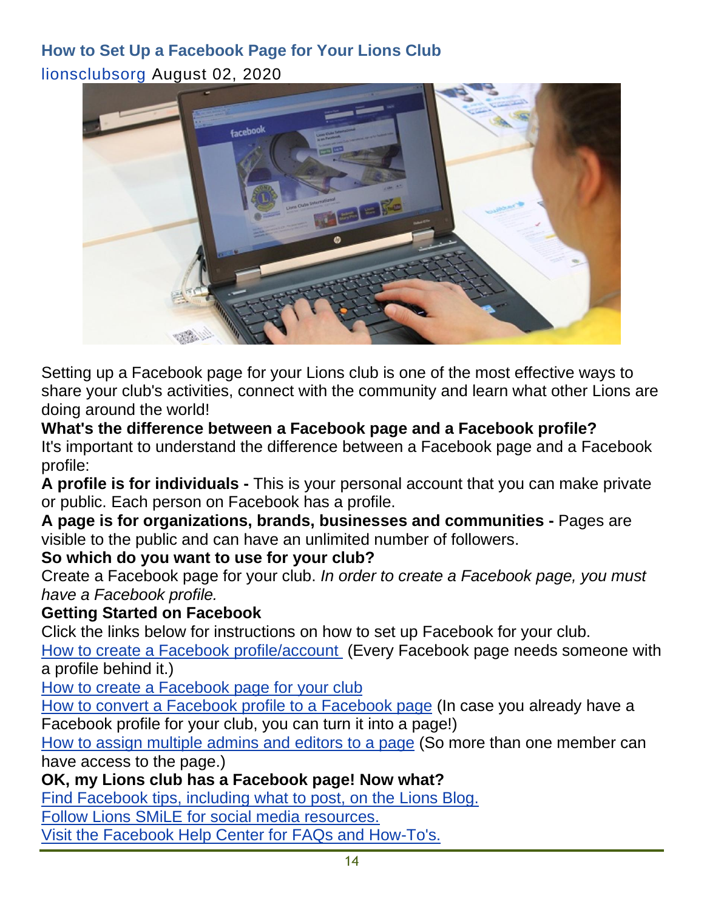## **How to Set Up a Facebook Page for Your Lions Club** lionsclubsorg August 02, 2020



Setting up a Facebook page for your Lions club is one of the most effective ways to share your club's activities, connect with the community and learn what other Lions are doing around the world!

#### **What's the difference between a Facebook page and a Facebook profile?**

It's important to understand the difference between a Facebook page and a Facebook profile:

**A profile is for individuals -** This is your personal account that you can make private or public. Each person on Facebook has a profile.

**A page is for organizations, brands, businesses and communities -** Pages are visible to the public and can have an unlimited number of followers.

#### **So which do you want to use for your club?**

Create a Facebook page for your club. *In order to create a Facebook page, you must have a Facebook profile.*

#### **Getting Started on Facebook**

Click the links below for instructions on how to set up Facebook for your club.

How to create a Facebook profile/account (Every Facebook page needs someone with a profile behind it.)

How to create a Facebook page for your club

How to convert a Facebook profile to a Facebook page (In case you already have a Facebook profile for your club, you can turn it into a page!)

How to assign multiple admins and editors to a page (So more than one member can have access to the page.)

#### **OK, my Lions club has a Facebook page! Now what?**

Find Facebook tips, including what to post, on the Lions Blog.

Follow Lions SMiLE for social media resources.

Visit the Facebook Help Center for FAQs and How-To's.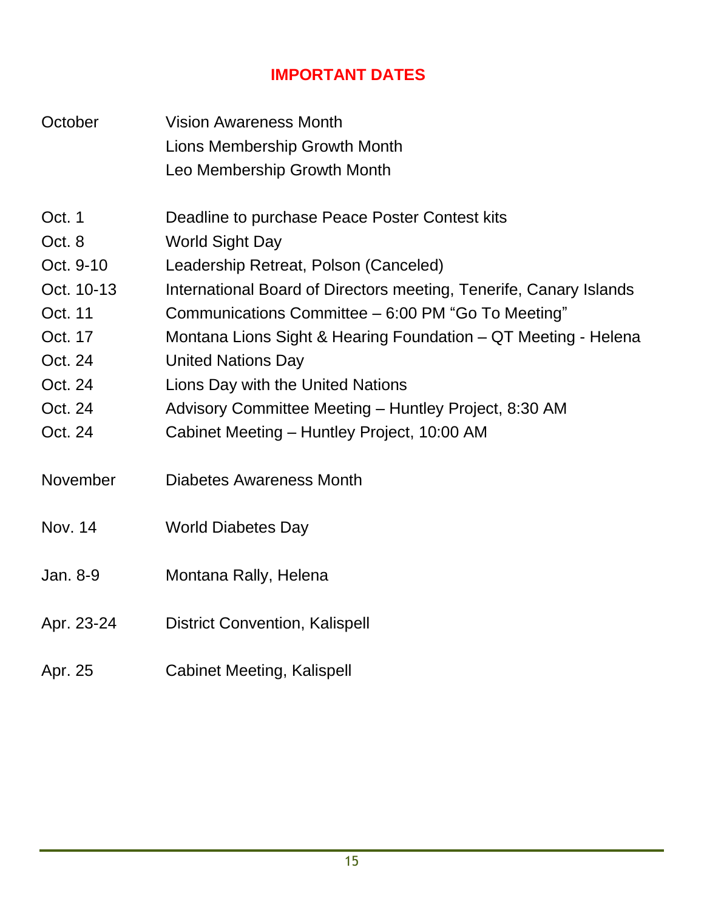## **IMPORTANT DATES**

| October                                                                                                       | <b>Vision Awareness Month</b><br><b>Lions Membership Growth Month</b><br>Leo Membership Growth Month                                                                                                                                                                                                                                                                                                                                                                                      |
|---------------------------------------------------------------------------------------------------------------|-------------------------------------------------------------------------------------------------------------------------------------------------------------------------------------------------------------------------------------------------------------------------------------------------------------------------------------------------------------------------------------------------------------------------------------------------------------------------------------------|
| Oct. 1<br>Oct. 8<br>Oct. 9-10<br>Oct. 10-13<br>Oct. 11<br>Oct. 17<br>Oct. 24<br>Oct. 24<br>Oct. 24<br>Oct. 24 | Deadline to purchase Peace Poster Contest kits<br><b>World Sight Day</b><br>Leadership Retreat, Polson (Canceled)<br>International Board of Directors meeting, Tenerife, Canary Islands<br>Communications Committee - 6:00 PM "Go To Meeting"<br>Montana Lions Sight & Hearing Foundation – QT Meeting - Helena<br><b>United Nations Day</b><br>Lions Day with the United Nations<br>Advisory Committee Meeting - Huntley Project, 8:30 AM<br>Cabinet Meeting - Huntley Project, 10:00 AM |
| November                                                                                                      | <b>Diabetes Awareness Month</b>                                                                                                                                                                                                                                                                                                                                                                                                                                                           |
| <b>Nov. 14</b>                                                                                                | <b>World Diabetes Day</b>                                                                                                                                                                                                                                                                                                                                                                                                                                                                 |
| Jan. 8-9                                                                                                      | Montana Rally, Helena                                                                                                                                                                                                                                                                                                                                                                                                                                                                     |
| Apr. 23-24                                                                                                    | <b>District Convention, Kalispell</b>                                                                                                                                                                                                                                                                                                                                                                                                                                                     |
| Apr. 25                                                                                                       | <b>Cabinet Meeting, Kalispell</b>                                                                                                                                                                                                                                                                                                                                                                                                                                                         |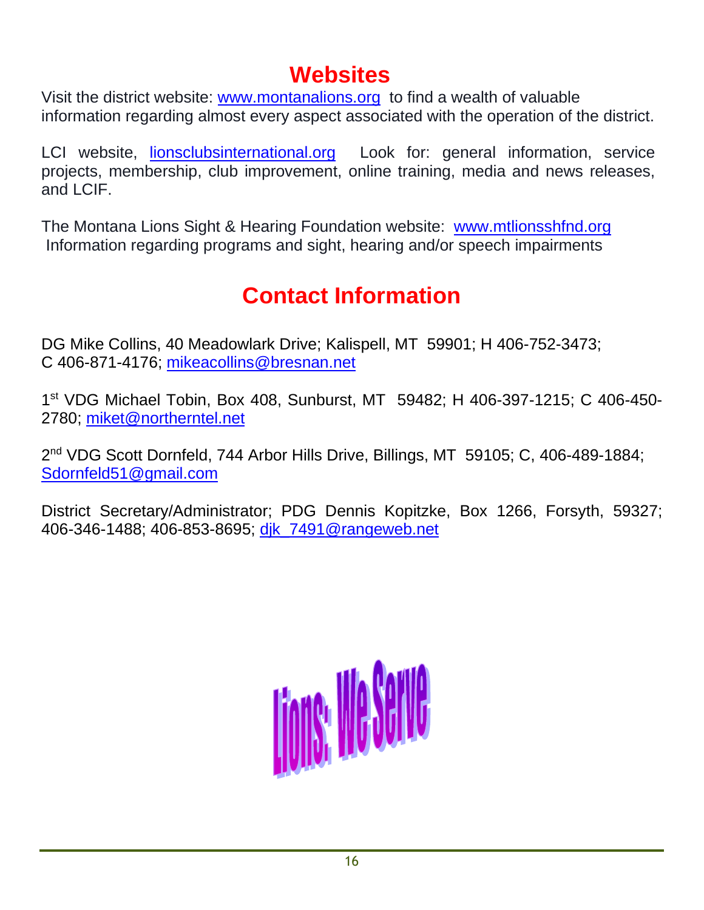## **Websites**

Visit the district website: www.montanalions.org to find a wealth of valuable information regarding almost every aspect associated with the operation of the district.

LCI website, lionsclubsinternational.org Look for: general information, service projects, membership, club improvement, online training, media and news releases, and LCIF.

The Montana Lions Sight & Hearing Foundation website: www.mtlionsshfnd.org Information regarding programs and sight, hearing and/or speech impairments

## **Contact Information**

DG Mike Collins, 40 Meadowlark Drive; Kalispell, MT 59901; H 406-752-3473; C 406-871-4176; mikeacollins@bresnan.net

1 st VDG Michael Tobin, Box 408, Sunburst, MT 59482; H 406-397-1215; C 406-450- 2780; miket@northerntel.net

2<sup>nd</sup> VDG Scott Dornfeld, 744 Arbor Hills Drive, Billings, MT 59105; C, 406-489-1884; Sdornfeld51@gmail.com

District Secretary/Administrator; PDG Dennis Kopitzke, Box 1266, Forsyth, 59327; 406-346-1488; 406-853-8695; dik\_7491@rangeweb.net

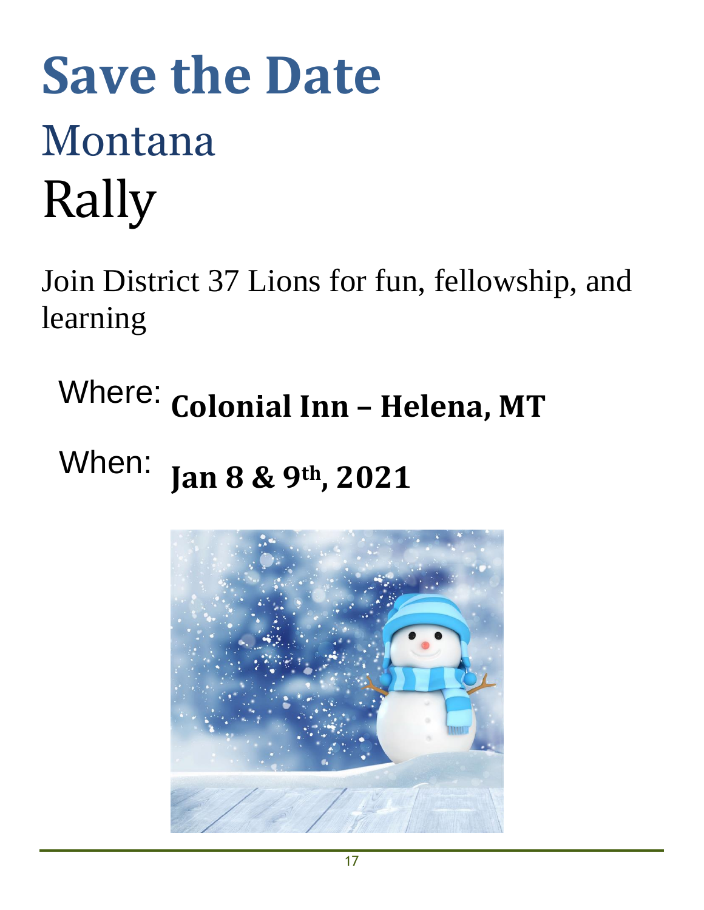# **Save the Date** Montana Rally

Join District 37 Lions for fun, fellowship, and learning

Where: **Colonial Inn – Helena, MT**

## When: **Jan 8 & 9th, 2021**

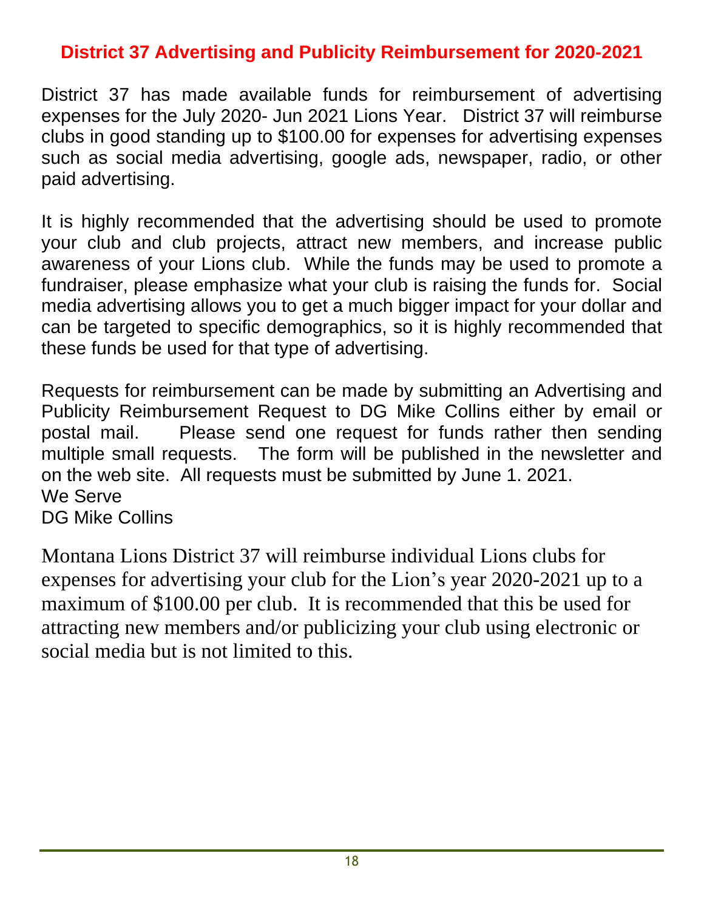## **District 37 Advertising and Publicity Reimbursement for 2020-2021**

District 37 has made available funds for reimbursement of advertising expenses for the July 2020- Jun 2021 Lions Year. District 37 will reimburse clubs in good standing up to \$100.00 for expenses for advertising expenses such as social media advertising, google ads, newspaper, radio, or other paid advertising.

It is highly recommended that the advertising should be used to promote your club and club projects, attract new members, and increase public awareness of your Lions club. While the funds may be used to promote a fundraiser, please emphasize what your club is raising the funds for. Social media advertising allows you to get a much bigger impact for your dollar and can be targeted to specific demographics, so it is highly recommended that these funds be used for that type of advertising.

Requests for reimbursement can be made by submitting an Advertising and Publicity Reimbursement Request to DG Mike Collins either by email or postal mail. Please send one request for funds rather then sending multiple small requests. The form will be published in the newsletter and on the web site. All requests must be submitted by June 1. 2021. We Serve DG Mike Collins

Montana Lions District 37 will reimburse individual Lions clubs for expenses for advertising your club for the Lion's year 2020-2021 up to a maximum of \$100.00 per club. It is recommended that this be used for attracting new members and/or publicizing your club using electronic or social media but is not limited to this.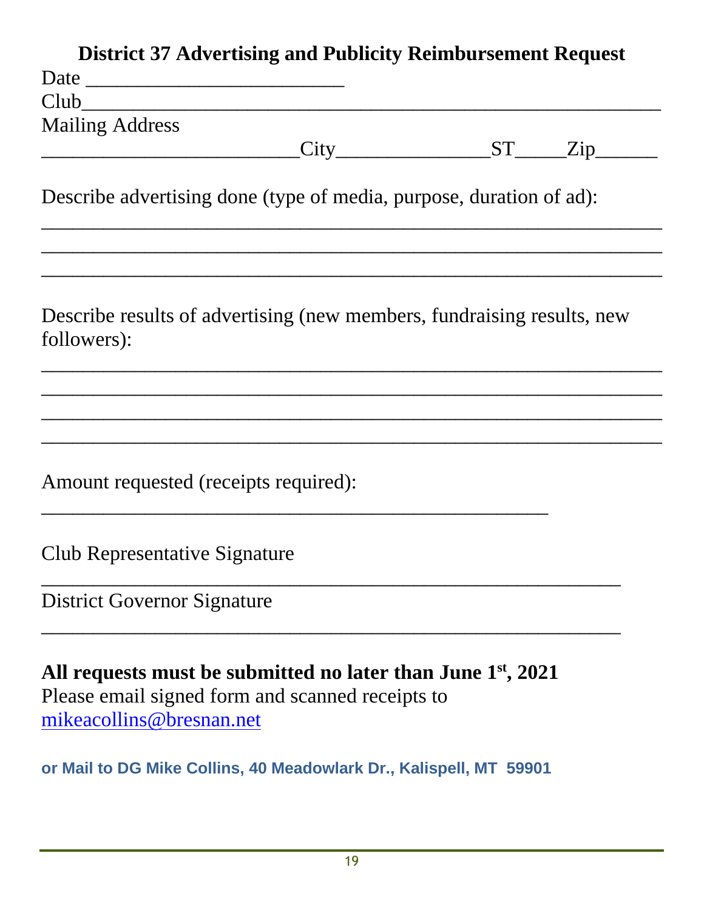|                                                                                                                                                | <b>District 37 Advertising and Publicity Reimbursement Request</b> |                                        |  |
|------------------------------------------------------------------------------------------------------------------------------------------------|--------------------------------------------------------------------|----------------------------------------|--|
|                                                                                                                                                |                                                                    |                                        |  |
| Club                                                                                                                                           |                                                                    |                                        |  |
| <b>Mailing Address</b>                                                                                                                         |                                                                    |                                        |  |
|                                                                                                                                                |                                                                    | $\text{City}$ $\text{ST}$ $\text{Zip}$ |  |
| Describe advertising done (type of media, purpose, duration of ad):                                                                            |                                                                    |                                        |  |
| Describe results of advertising (new members, fundraising results, new<br>followers):                                                          |                                                                    |                                        |  |
| Amount requested (receipts required):                                                                                                          |                                                                    |                                        |  |
| Club Representative Signature                                                                                                                  |                                                                    |                                        |  |
|                                                                                                                                                |                                                                    |                                        |  |
| <b>District Governor Signature</b>                                                                                                             |                                                                    |                                        |  |
| All requests must be submitted no later than June $1st$ , 2021<br>Please email signed form and scanned receipts to<br>mikeacollins@bresnan.net |                                                                    |                                        |  |
| or Mail to DG Mike Collins, 40 Meadowlark Dr., Kalispell, MT 59901                                                                             |                                                                    |                                        |  |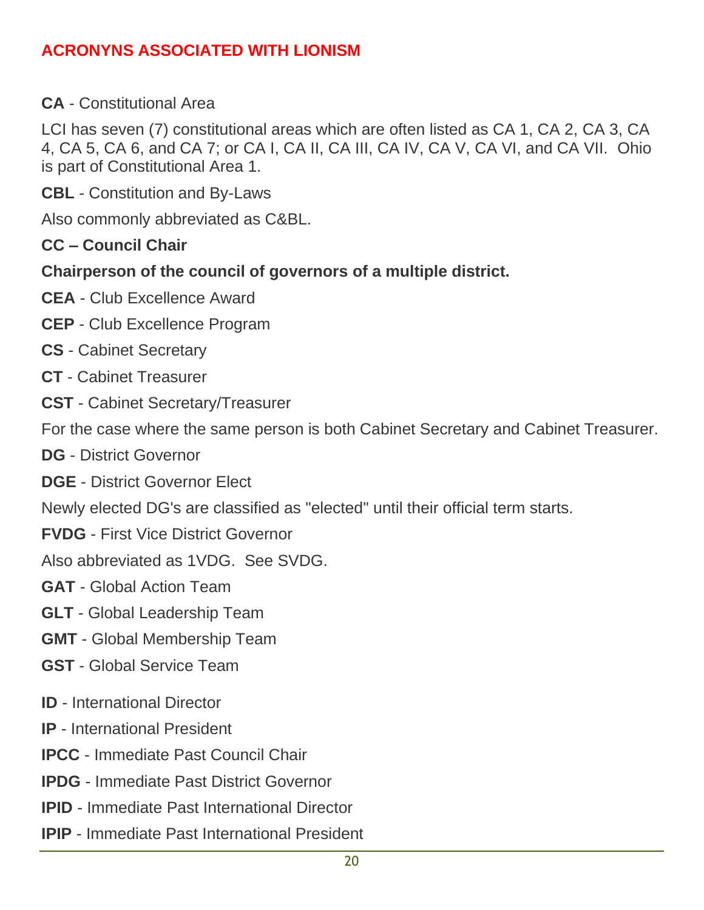#### **ACRONYNS ASSOCIATED WITH LIONISM**

**CA** - Constitutional Area

LCI has seven (7) constitutional areas which are often listed as CA 1, CA 2, CA 3, CA 4, CA 5, CA 6, and CA 7; or CA I, CA II, CA III, CA IV, CA V, CA VI, and CA VII. Ohio is part of Constitutional Area 1.

**CBL** - Constitution and By-Laws

Also commonly abbreviated as C&BL.

- **CC – Council Chair**
- **Chairperson of the council of governors of a multiple district.**
- **CEA** Club Excellence Award
- **CEP** Club Excellence Program
- **CS** Cabinet Secretary
- **CT** Cabinet Treasurer
- **CST** Cabinet Secretary/Treasurer
- For the case where the same person is both Cabinet Secretary and Cabinet Treasurer.
- **DG** District Governor
- **DGE** District Governor Elect

Newly elected DG's are classified as "elected" until their official term starts.

- **FVDG** First Vice District Governor
- Also abbreviated as 1VDG. See SVDG.
- **GAT** Global Action Team
- **GLT** Global Leadership Team
- **GMT** Global Membership Team
- **GST** Global Service Team
- **ID** International Director
- **IP** International President
- **IPCC** Immediate Past Council Chair
- **IPDG** Immediate Past District Governor
- **IPID** Immediate Past International Director
- **IPIP** Immediate Past International President